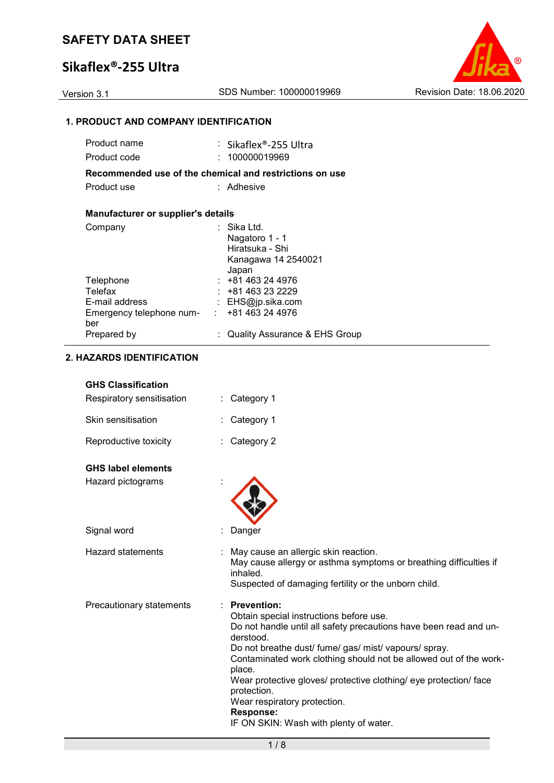# **Sikaflex®-255 Ultra**



# **1. PRODUCT AND COMPANY IDENTIFICATION**

| Product name                                            | : Sikaflex®-255 Ultra                    |
|---------------------------------------------------------|------------------------------------------|
| Product code                                            | 100000019969                             |
| Recommended use of the chemical and restrictions on use |                                          |
| Product use                                             | : Adhesive                               |
|                                                         |                                          |
| Manufacturer or supplier's details                      |                                          |
| Company                                                 | Sika Ltd.                                |
|                                                         | Nagatoro 1 - 1                           |
|                                                         | Hiratsuka - Shi                          |
|                                                         | Kanagawa 14 2540021                      |
|                                                         | Japan                                    |
| Telephone                                               | $: +81463244976$                         |
| Telefax                                                 | : +81 463 23 2229                        |
| E-mail address                                          | : EHS@jp.sika.com                        |
| Emergency telephone num-<br>:                           | +81 463 24 4976                          |
| ber                                                     |                                          |
| Prepared by                                             | <b>Quality Assurance &amp; EHS Group</b> |

### **2. HAZARDS IDENTIFICATION**

| <b>GHS Classification</b> |  |
|---------------------------|--|
|---------------------------|--|

| Respiratory sensitisation | $\therefore$ Category 1                                                                                                                                                         |
|---------------------------|---------------------------------------------------------------------------------------------------------------------------------------------------------------------------------|
| Skin sensitisation        | : Category 1                                                                                                                                                                    |
| Reproductive toxicity     | $\therefore$ Category 2                                                                                                                                                         |
| <b>GHS label elements</b> |                                                                                                                                                                                 |
| Hazard pictograms         |                                                                                                                                                                                 |
| Signal word               | Danger                                                                                                                                                                          |
| Hazard statements         | : May cause an allergic skin reaction.<br>May cause allergy or asthma symptoms or breathing difficulties if<br>inhaled.<br>Suspected of damaging fertility or the unborn child. |
| Precautionary statements  | $\therefore$ Prevention:<br>Obtain special instructions before use.<br>Do not handle until all safety precautions have been read and un-<br>derstood.                           |

Do not breathe dust/ fume/ gas/ mist/ vapours/ spray.

Contaminated work clothing should not be allowed out of the workplace.

Wear protective gloves/ protective clothing/ eye protection/ face protection.

Wear respiratory protection.

**Response:** 

IF ON SKIN: Wash with plenty of water.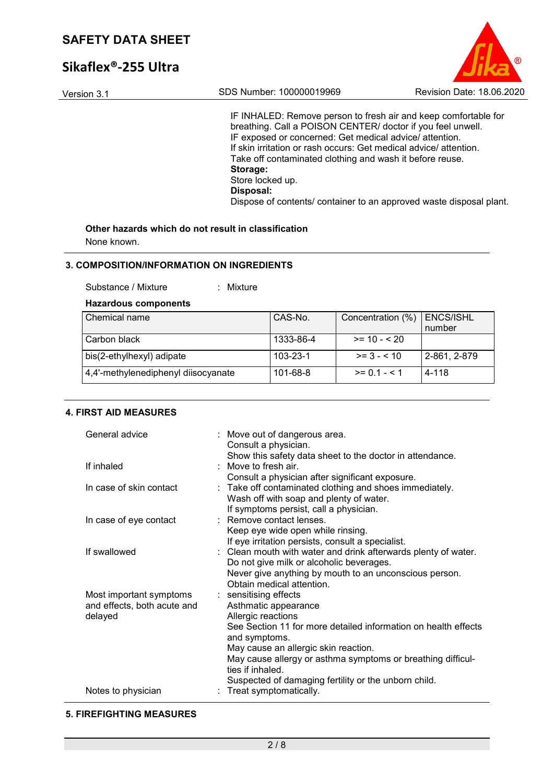# **Sikaflex®-255 Ultra**





IF INHALED: Remove person to fresh air and keep comfortable for breathing. Call a POISON CENTER/ doctor if you feel unwell. IF exposed or concerned: Get medical advice/ attention. If skin irritation or rash occurs: Get medical advice/ attention. Take off contaminated clothing and wash it before reuse. **Storage:**  Store locked up. **Disposal:**  Dispose of contents/ container to an approved waste disposal plant.

# **Other hazards which do not result in classification**

None known.

### **3. COMPOSITION/INFORMATION ON INGREDIENTS**

Substance / Mixture : Mixture

### **Hazardous components**

| Chemical name                       | CAS-No.        | Concentration (%) | ENCS/ISHL<br>number |
|-------------------------------------|----------------|-------------------|---------------------|
| Carbon black                        | 1333-86-4      | $>= 10 - 520$     |                     |
| bis(2-ethylhexyl) adipate           | $103 - 23 - 1$ | $>= 3 - 510$      | $ 2 - 861, 2 - 879$ |
| 4,4'-methylenediphenyl diisocyanate | 101-68-8       | $>= 0.1 - 5.1$    | 4-118               |

## **4. FIRST AID MEASURES**

| General advice              | : Move out of dangerous area.<br>Consult a physician.                           |
|-----------------------------|---------------------------------------------------------------------------------|
|                             | Show this safety data sheet to the doctor in attendance.                        |
| If inhaled                  | Move to fresh air                                                               |
|                             | Consult a physician after significant exposure.                                 |
| In case of skin contact     | : Take off contaminated clothing and shoes immediately.                         |
|                             | Wash off with soap and plenty of water.                                         |
|                             | If symptoms persist, call a physician.                                          |
| In case of eye contact      | : Remove contact lenses.                                                        |
|                             | Keep eye wide open while rinsing.                                               |
|                             | If eye irritation persists, consult a specialist.                               |
| If swallowed                | : Clean mouth with water and drink afterwards plenty of water.                  |
|                             | Do not give milk or alcoholic beverages.                                        |
|                             | Never give anything by mouth to an unconscious person.                          |
|                             | Obtain medical attention.                                                       |
| Most important symptoms     | : sensitising effects                                                           |
| and effects, both acute and | Asthmatic appearance                                                            |
| delayed                     | Allergic reactions                                                              |
|                             | See Section 11 for more detailed information on health effects<br>and symptoms. |
|                             | May cause an allergic skin reaction.                                            |
|                             | May cause allergy or asthma symptoms or breathing difficul-                     |
|                             | ties if inhaled.                                                                |
|                             | Suspected of damaging fertility or the unborn child.                            |
| Notes to physician          | Treat symptomatically.                                                          |

### **5. FIREFIGHTING MEASURES**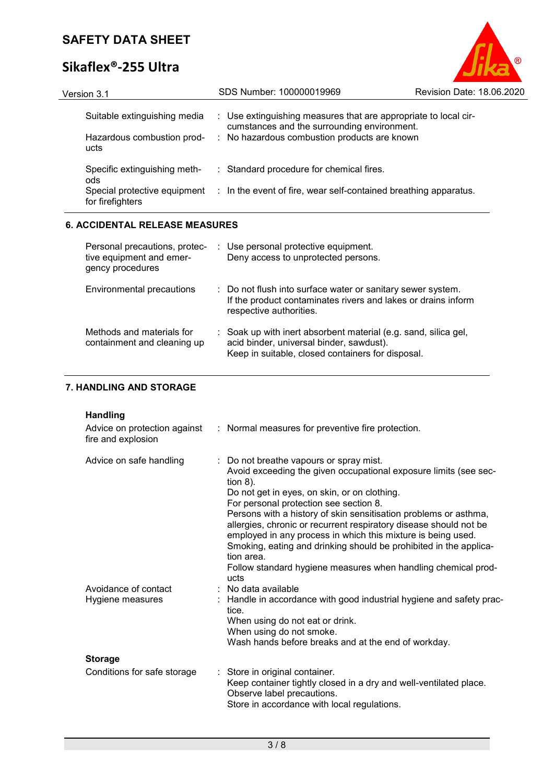# **Sikaflex®-255 Ultra**



| Version 3.1                                      | SDS Number: 100000019969                                                                                       | Revision Date: 18.06.2020 |
|--------------------------------------------------|----------------------------------------------------------------------------------------------------------------|---------------------------|
| Suitable extinguishing media                     | : Use extinguishing measures that are appropriate to local cir-<br>cumstances and the surrounding environment. |                           |
| Hazardous combustion prod-<br>ucts               | : No hazardous combustion products are known                                                                   |                           |
| Specific extinguishing meth-<br>ods              | : Standard procedure for chemical fires.                                                                       |                           |
| Special protective equipment<br>for firefighters | : In the event of fire, wear self-contained breathing apparatus.                                               |                           |
| <b>6. ACCIDENTAL RELEASE MEASURES</b>            |                                                                                                                |                           |

| Personal precautions, protec-<br>tive equipment and emer-<br>gency procedures | : Use personal protective equipment.<br>Deny access to unprotected persons.                                                                                      |
|-------------------------------------------------------------------------------|------------------------------------------------------------------------------------------------------------------------------------------------------------------|
| Environmental precautions                                                     | : Do not flush into surface water or sanitary sewer system.<br>If the product contaminates rivers and lakes or drains inform<br>respective authorities.          |
| Methods and materials for<br>containment and cleaning up                      | : Soak up with inert absorbent material (e.g. sand, silica gel,<br>acid binder, universal binder, sawdust).<br>Keep in suitable, closed containers for disposal. |

# **7. HANDLING AND STORAGE**

# **Handling**

| Advice on protection against<br>fire and explosion | : Normal measures for preventive fire protection.                                                                                                                                                                                                                                                                                                                                                                                                                                                                                                                                         |
|----------------------------------------------------|-------------------------------------------------------------------------------------------------------------------------------------------------------------------------------------------------------------------------------------------------------------------------------------------------------------------------------------------------------------------------------------------------------------------------------------------------------------------------------------------------------------------------------------------------------------------------------------------|
| Advice on safe handling                            | : Do not breathe vapours or spray mist.<br>Avoid exceeding the given occupational exposure limits (see sec-<br>tion $8$ ).<br>Do not get in eyes, on skin, or on clothing.<br>For personal protection see section 8.<br>Persons with a history of skin sensitisation problems or asthma,<br>allergies, chronic or recurrent respiratory disease should not be<br>employed in any process in which this mixture is being used.<br>Smoking, eating and drinking should be prohibited in the applica-<br>tion area.<br>Follow standard hygiene measures when handling chemical prod-<br>ucts |
| Avoidance of contact<br>Hygiene measures           | $:$ No data available<br>: Handle in accordance with good industrial hygiene and safety prac-<br>tice.<br>When using do not eat or drink.<br>When using do not smoke.<br>Wash hands before breaks and at the end of workday.                                                                                                                                                                                                                                                                                                                                                              |
| <b>Storage</b>                                     |                                                                                                                                                                                                                                                                                                                                                                                                                                                                                                                                                                                           |
| Conditions for safe storage                        | : Store in original container.<br>Keep container tightly closed in a dry and well-ventilated place.<br>Observe label precautions.<br>Store in accordance with local regulations.                                                                                                                                                                                                                                                                                                                                                                                                          |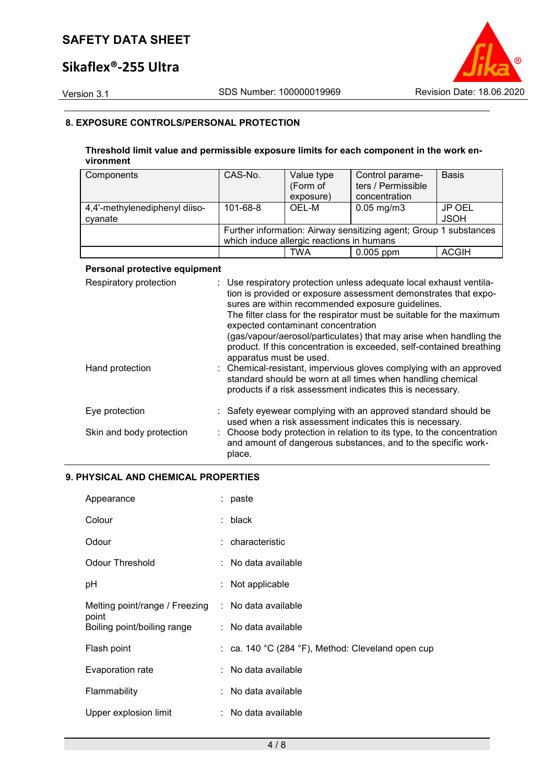# **Sikaflex®-255 Ultra**



## **8. EXPOSURE CONTROLS/PERSONAL PROTECTION**

### **Threshold limit value and permissible exposure limits for each component in the work environment**

| Components                    | CAS-No.  | Value type                                | Control parame-                                                   | <b>Basis</b> |
|-------------------------------|----------|-------------------------------------------|-------------------------------------------------------------------|--------------|
|                               |          | (Form of                                  | ters / Permissible                                                |              |
|                               |          | exposure)                                 | concentration                                                     |              |
| 4,4'-methylenediphenyl diiso- | 101-68-8 | OEL-M                                     | $0.05 \,\mathrm{mg/m3}$                                           | JP OEL       |
| cyanate                       |          |                                           |                                                                   | <b>JSOH</b>  |
|                               |          |                                           | Further information: Airway sensitizing agent; Group 1 substances |              |
|                               |          | which induce allergic reactions in humans |                                                                   |              |
|                               |          | TWA                                       | $0.005$ ppm                                                       | <b>ACGIH</b> |

## **Personal protective equipment**

| Respiratory protection   | : Use respiratory protection unless adequate local exhaust ventila-<br>tion is provided or exposure assessment demonstrates that expo-<br>sures are within recommended exposure guidelines.<br>The filter class for the respirator must be suitable for the maximum<br>expected contaminant concentration<br>(gas/vapour/aerosol/particulates) that may arise when handling the<br>product. If this concentration is exceeded, self-contained breathing<br>apparatus must be used. |
|--------------------------|------------------------------------------------------------------------------------------------------------------------------------------------------------------------------------------------------------------------------------------------------------------------------------------------------------------------------------------------------------------------------------------------------------------------------------------------------------------------------------|
| Hand protection          | : Chemical-resistant, impervious gloves complying with an approved<br>standard should be worn at all times when handling chemical<br>products if a risk assessment indicates this is necessary.                                                                                                                                                                                                                                                                                    |
| Eye protection           | : Safety eyewear complying with an approved standard should be<br>used when a risk assessment indicates this is necessary.                                                                                                                                                                                                                                                                                                                                                         |
| Skin and body protection | : Choose body protection in relation to its type, to the concentration<br>and amount of dangerous substances, and to the specific work-<br>place.                                                                                                                                                                                                                                                                                                                                  |

### **9. PHYSICAL AND CHEMICAL PROPERTIES**

| Appearance                              | : paste                                           |
|-----------------------------------------|---------------------------------------------------|
| Colour                                  | : black                                           |
| Odour                                   | : characteristic                                  |
| <b>Odour Threshold</b>                  | : No data available                               |
| рH                                      | : Not applicable                                  |
| Melting point/range / Freezing<br>point | : No data available                               |
| Boiling point/boiling range             | : No data available                               |
| Flash point                             | : ca. 140 °C (284 °F), Method: Cleveland open cup |
| Evaporation rate                        | : No data available                               |
| Flammability                            | : No data available                               |
| Upper explosion limit                   | : No data available                               |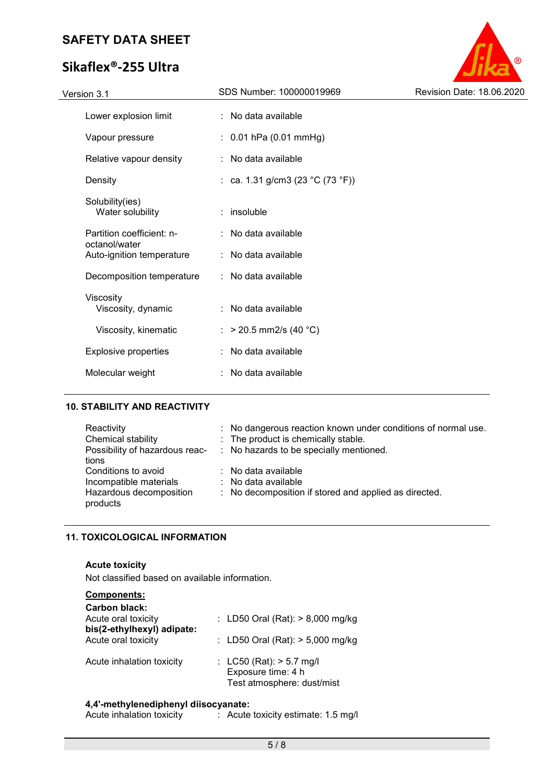# **Sikaflex®-255 Ultra**



# **10. STABILITY AND REACTIVITY**

| Reactivity              | : No dangerous reaction known under conditions of normal use.          |
|-------------------------|------------------------------------------------------------------------|
| Chemical stability      | : The product is chemically stable.                                    |
|                         | Possibility of hazardous reac- : No hazards to be specially mentioned. |
| tions                   |                                                                        |
| Conditions to avoid     | $\therefore$ No data available                                         |
| Incompatible materials  | $\therefore$ No data available                                         |
| Hazardous decomposition | : No decomposition if stored and applied as directed.                  |
| products                |                                                                        |

# **11. TOXICOLOGICAL INFORMATION**

## **Acute toxicity**

Not classified based on available information.

| <b>Components:</b>                                |                                                                                |
|---------------------------------------------------|--------------------------------------------------------------------------------|
| Carbon black:                                     |                                                                                |
| Acute oral toxicity                               | : LD50 Oral (Rat): $> 8,000$ mg/kg                                             |
| bis(2-ethylhexyl) adipate:<br>Acute oral toxicity | : LD50 Oral (Rat): $> 5,000$ mg/kg                                             |
| Acute inhalation toxicity                         | : LC50 (Rat): $> 5.7$ mg/l<br>Exposure time: 4 h<br>Test atmosphere: dust/mist |

#### **4,4'-methylenediphenyl diisocyanate:**

| Acute inhalation toxicity | Acute toxicity estimate: 1.5 mg/l |
|---------------------------|-----------------------------------|
|---------------------------|-----------------------------------|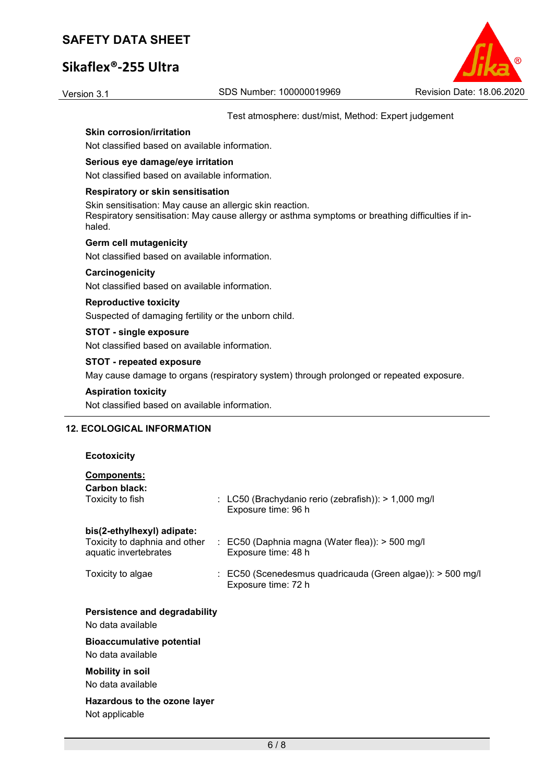# **Sikaflex®-255 Ultra**



Test atmosphere: dust/mist, Method: Expert judgement

# **Skin corrosion/irritation**

Not classified based on available information.

#### **Serious eye damage/eye irritation**

Not classified based on available information.

#### **Respiratory or skin sensitisation**

Skin sensitisation: May cause an allergic skin reaction. Respiratory sensitisation: May cause allergy or asthma symptoms or breathing difficulties if inhaled.

#### **Germ cell mutagenicity**

Not classified based on available information.

#### **Carcinogenicity**

Not classified based on available information.

#### **Reproductive toxicity**

Suspected of damaging fertility or the unborn child.

### **STOT - single exposure**

Not classified based on available information.

#### **STOT - repeated exposure**

May cause damage to organs (respiratory system) through prolonged or repeated exposure.

### **Aspiration toxicity**

Not classified based on available information.

### **12. ECOLOGICAL INFORMATION**

#### **Ecotoxicity**

# **Components:**

| <b>Carbon black:</b><br>Toxicity to fish                                             | : LC50 (Brachydanio rerio (zebrafish)): $> 1,000$ mg/l<br>Exposure time: 96 h                  |
|--------------------------------------------------------------------------------------|------------------------------------------------------------------------------------------------|
| bis(2-ethylhexyl) adipate:<br>Toxicity to daphnia and other<br>aquatic invertebrates | $\therefore$ EC50 (Daphnia magna (Water flea)): $>$ 500 mg/l<br>Exposure time: 48 h            |
| Toxicity to algae                                                                    | $\therefore$ EC50 (Scenedesmus quadricauda (Green algae)): $>$ 500 mg/l<br>Exposure time: 72 h |
| <b>Persistence and degradability</b><br>No data available                            |                                                                                                |
| <b>Bioaccumulative potential</b>                                                     |                                                                                                |
| No data available                                                                    |                                                                                                |
| <b>Mobility in soil</b>                                                              |                                                                                                |
| No data available                                                                    |                                                                                                |
| Hazardous to the ozone layer                                                         |                                                                                                |
| Not applicable                                                                       |                                                                                                |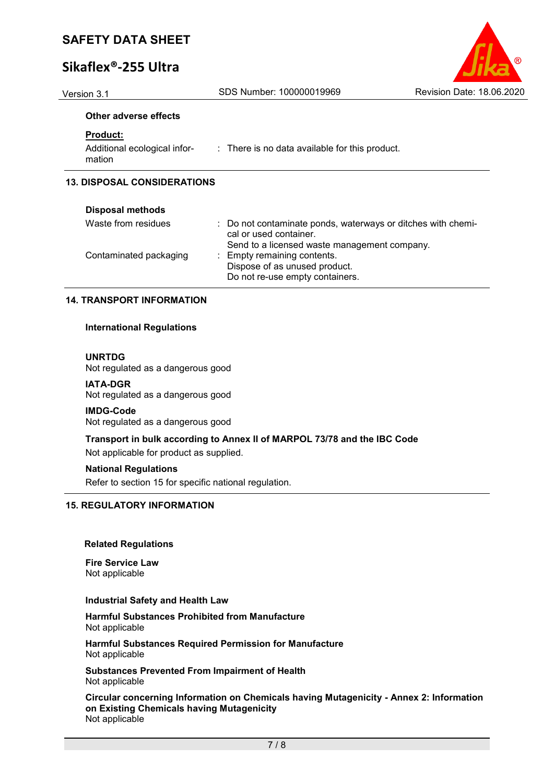# **Sikaflex®-255 Ultra**

Version 3.1 SDS Number: 100000019969 Revision Date: 18.06.2020

#### **Other adverse effects**

#### **Product:**

| Additional ecological infor- | : There is no data available for this product. |
|------------------------------|------------------------------------------------|
| mation                       |                                                |

### **13. DISPOSAL CONSIDERATIONS**

| <b>Disposal methods</b> |                                                                                                                                        |
|-------------------------|----------------------------------------------------------------------------------------------------------------------------------------|
| Waste from residues     | : Do not contaminate ponds, waterways or ditches with chemi-<br>cal or used container.<br>Send to a licensed waste management company. |
| Contaminated packaging  | : Empty remaining contents.<br>Dispose of as unused product.<br>Do not re-use empty containers.                                        |

#### **14. TRANSPORT INFORMATION**

#### **International Regulations**

#### **UNRTDG**

Not regulated as a dangerous good

#### **IATA-DGR**

Not regulated as a dangerous good

#### **IMDG-Code**

Not regulated as a dangerous good

### **Transport in bulk according to Annex II of MARPOL 73/78 and the IBC Code**

Not applicable for product as supplied.

#### **National Regulations**

Refer to section 15 for specific national regulation.

## **15. REGULATORY INFORMATION**

#### **Related Regulations**

**Fire Service Law** Not applicable

#### **Industrial Safety and Health Law**

**Harmful Substances Prohibited from Manufacture** Not applicable

**Harmful Substances Required Permission for Manufacture** Not applicable

**Substances Prevented From Impairment of Health** Not applicable

**Circular concerning Information on Chemicals having Mutagenicity - Annex 2: Information on Existing Chemicals having Mutagenicity** Not applicable